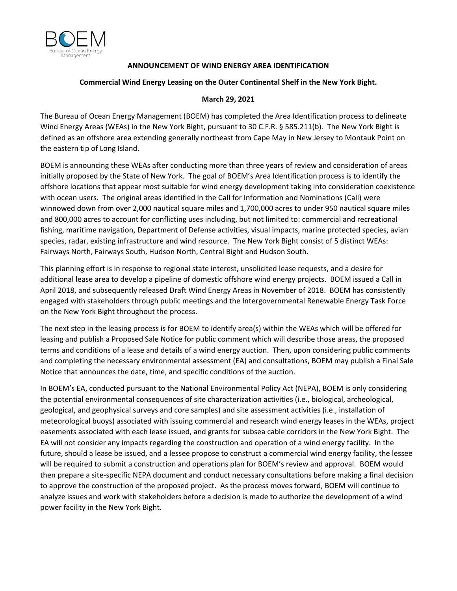

## **ANNOUNCEMENT OF WIND ENERGY AREA IDENTIFICATION**

## **Commercial Wind Energy Leasing on the Outer Continental Shelf in the New York Bight.**

## **March 29, 2021**

The Bureau of Ocean Energy Management (BOEM) has completed the Area Identification process to delineate Wind Energy Areas (WEAs) in the New York Bight, pursuant to 30 C.F.R. § 585.211(b). The New York Bight is defined as an offshore area extending generally northeast from Cape May in New Jersey to Montauk Point on the eastern tip of Long Island.

BOEM is announcing these WEAs after conducting more than three years of review and consideration of areas initially proposed by the State of New York. The goal of BOEM's Area Identification process is to identify the offshore locations that appear most suitable for wind energy development taking into consideration coexistence with ocean users. The original areas identified in the Call for Information and Nominations (Call) were winnowed down from over 2,000 nautical square miles and 1,700,000 acres to under 950 nautical square miles and 800,000 acres to account for conflicting uses including, but not limited to: commercial and recreational fishing, maritime navigation, Department of Defense activities, visual impacts, marine protected species, avian species, radar, existing infrastructure and wind resource. The New York Bight consist of 5 distinct WEAs: Fairways North, Fairways South, Hudson North, Central Bight and Hudson South.

This planning effort is in response to regional state interest, unsolicited lease requests, and a desire for additional lease area to develop a pipeline of domestic offshore wind energy projects. BOEM issued a Call in April 2018, and subsequently released Draft Wind Energy Areas in November of 2018. BOEM has consistently engaged with stakeholders through public meetings and the Intergovernmental Renewable Energy Task Force on the New York Bight throughout the process.

The next step in the leasing process is for BOEM to identify area(s) within the WEAs which will be offered for leasing and publish a Proposed Sale Notice for public comment which will describe those areas, the proposed terms and conditions of a lease and details of a wind energy auction. Then, upon considering public comments and completing the necessary environmental assessment (EA) and consultations, BOEM may publish a Final Sale Notice that announces the date, time, and specific conditions of the auction.

In BOEM's EA, conducted pursuant to the National Environmental Policy Act (NEPA), BOEM is only considering the potential environmental consequences of site characterization activities (i.e., biological, archeological, geological, and geophysical surveys and core samples) and site assessment activities (i.e., installation of meteorological buoys) associated with issuing commercial and research wind energy leases in the WEAs, project easements associated with each lease issued, and grants for subsea cable corridors in the New York Bight. The EA will not consider any impacts regarding the construction and operation of a wind energy facility. In the future, should a lease be issued, and a lessee propose to construct a commercial wind energy facility, the lessee will be required to submit a construction and operations plan for BOEM's review and approval. BOEM would then prepare a site-specific NEPA document and conduct necessary consultations before making a final decision to approve the construction of the proposed project. As the process moves forward, BOEM will continue to analyze issues and work with stakeholders before a decision is made to authorize the development of a wind power facility in the New York Bight.